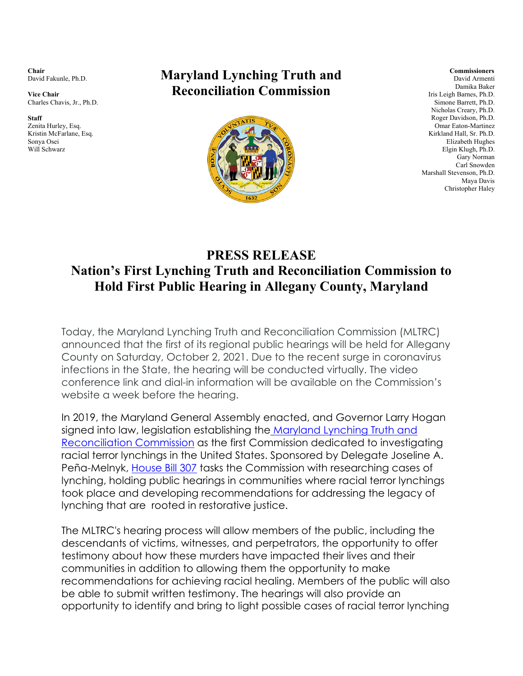**Chair**  David Fakunle, Ph.D.

**Vice Chair**  Charles Chavis, Jr., Ph.D.

**Staff**  Zenita Hurley, Esq. Kristin McFarlane, Esq. Sonya Osei Will Schwarz

## **Maryland Lynching Truth and Reconciliation Commission**



**Commissioners**  David Armenti Damika Baker Iris Leigh Barnes, Ph.D. Simone Barrett, Ph.D. Nicholas Creary, Ph.D. Roger Davidson, Ph.D. Omar Eaton-Martinez Kirkland Hall, Sr. Ph.D. Elizabeth Hughes Elgin Klugh, Ph.D. Gary Norman Carl Snowden Marshall Stevenson, Ph.D. Maya Davis Christopher Haley

## **Nation's First Lynching Truth and Reconciliation Commission to Hold First Public Hearing in Allegany County, Maryland PRESS RELEASE**

Today, the Maryland Lynching Truth and Reconciliation Commission (MLTRC) announced that the first of its regional public hearings will be held for Allegany County on Saturday, October 2, 2021. Due to the recent surge in coronavirus infections in the State, the hearing will be conducted virtually. The video conference link and dial-in information will be available on the Commission's website a week before the hearing.

In 2019, the Maryland General Assembly enacted, and Governor Larry Hogan signed into law, legislation establishing the Maryland Lynching Truth and Reconciliation Commission as the first Commission dedicated to investigating racial terror lynchings in the United States. Sponsored by Delegate Joseline A. Peña-Melnyk, House Bill 307 tasks the Commission with researching cases of lynching, holding public hearings in communities where racial terror lynchings took place and developing recommendations for addressing the legacy of lynching that are rooted in restorative justice.

The MLTRC's hearing process will allow members of the public, including the descendants of victims, witnesses, and perpetrators, the opportunity to offer testimony about how these murders have impacted their lives and their communities in addition to allowing them the opportunity to make recommendations for achieving racial healing. Members of the public will also be able to submit written testimony. The hearings will also provide an opportunity to identify and bring to light possible cases of racial terror lynching